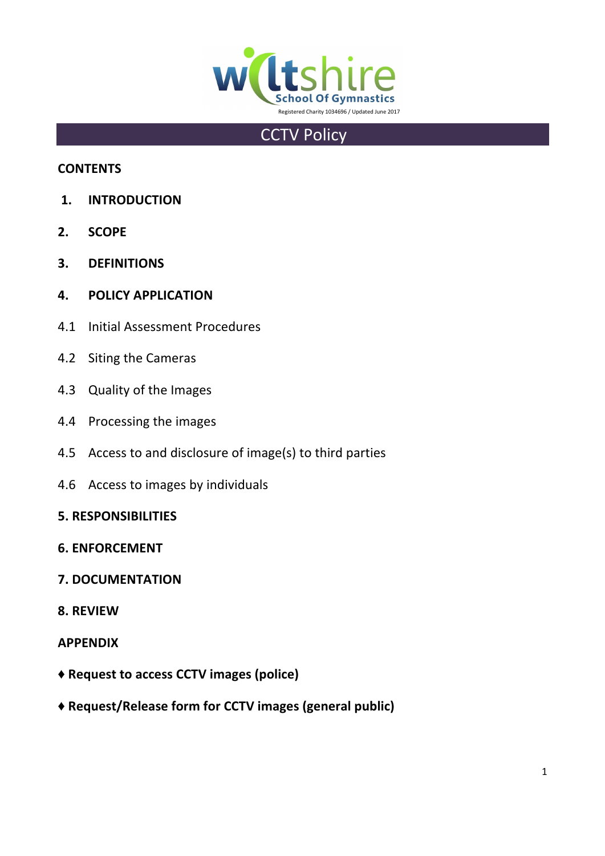

# **CCTV Policy**

# **CONTENTS**

- **1. INTRODUCTION**
- **2. SCOPE**
- **3. DEFINITIONS**
- **4. POLICY APPLICATION**
- 4.1 Initial Assessment Procedures
- 4.2 Siting the Cameras
- 4.3 Quality of the Images
- 4.4 Processing the images
- 4.5 Access to and disclosure of image(s) to third parties
- 4.6 Access to images by individuals
- **5. RESPONSIBILITIES**
- **6. ENFORCEMENT**
- **7. DOCUMENTATION**
- **8. REVIEW**

# **APPENDIX**

- **♦ Request to access CCTV images (police)**
- **♦ Request/Release form for CCTV images (general public)**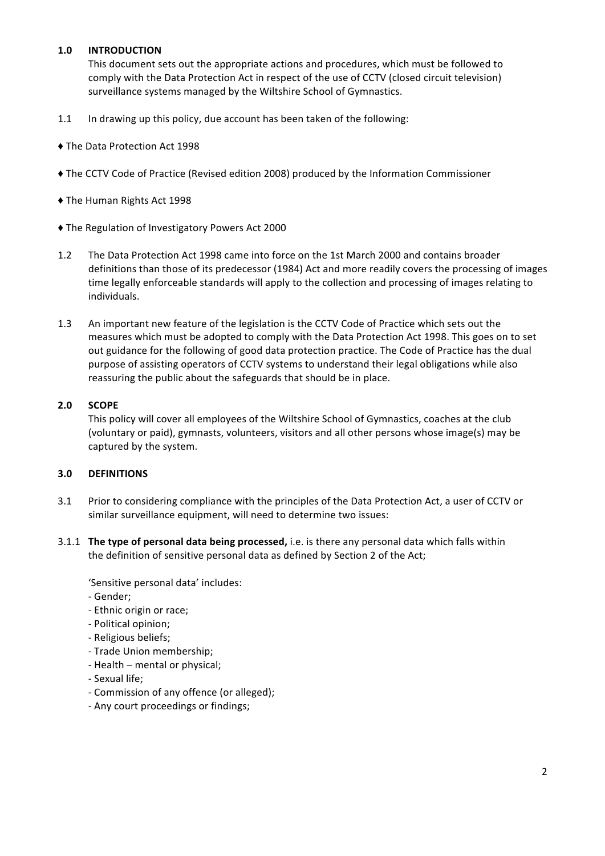# **1.0 INTRODUCTION**

This document sets out the appropriate actions and procedures, which must be followed to comply with the Data Protection Act in respect of the use of CCTV (closed circuit television) surveillance systems managed by the Wiltshire School of Gymnastics.

- 1.1 In drawing up this policy, due account has been taken of the following:
- $\triangle$  The Data Protection Act 1998
- The CCTV Code of Practice (Revised edition 2008) produced by the Information Commissioner
- $\blacklozenge$  The Human Rights Act 1998
- $\blacklozenge$  The Regulation of Investigatory Powers Act 2000
- 1.2 The Data Protection Act 1998 came into force on the 1st March 2000 and contains broader definitions than those of its predecessor (1984) Act and more readily covers the processing of images time legally enforceable standards will apply to the collection and processing of images relating to individuals.
- 1.3 An important new feature of the legislation is the CCTV Code of Practice which sets out the measures which must be adopted to comply with the Data Protection Act 1998. This goes on to set out guidance for the following of good data protection practice. The Code of Practice has the dual purpose of assisting operators of CCTV systems to understand their legal obligations while also reassuring the public about the safeguards that should be in place.

#### **2.0 SCOPE**

This policy will cover all employees of the Wiltshire School of Gymnastics, coaches at the club (voluntary or paid), gymnasts, volunteers, visitors and all other persons whose image(s) may be captured by the system.

#### **3.0 DEFINITIONS**

- 3.1 Prior to considering compliance with the principles of the Data Protection Act, a user of CCTV or similar surveillance equipment, will need to determine two issues:
- 3.1.1 **The type of personal data being processed,** i.e. is there any personal data which falls within the definition of sensitive personal data as defined by Section 2 of the Act;

'Sensitive personal data' includes:

- Gender;
- Ethnic origin or race;
- Political opinion;
- Religious beliefs;
- Trade Union membership;
- Health mental or physical;
- Sexual life;
- Commission of any offence (or alleged);
- Any court proceedings or findings;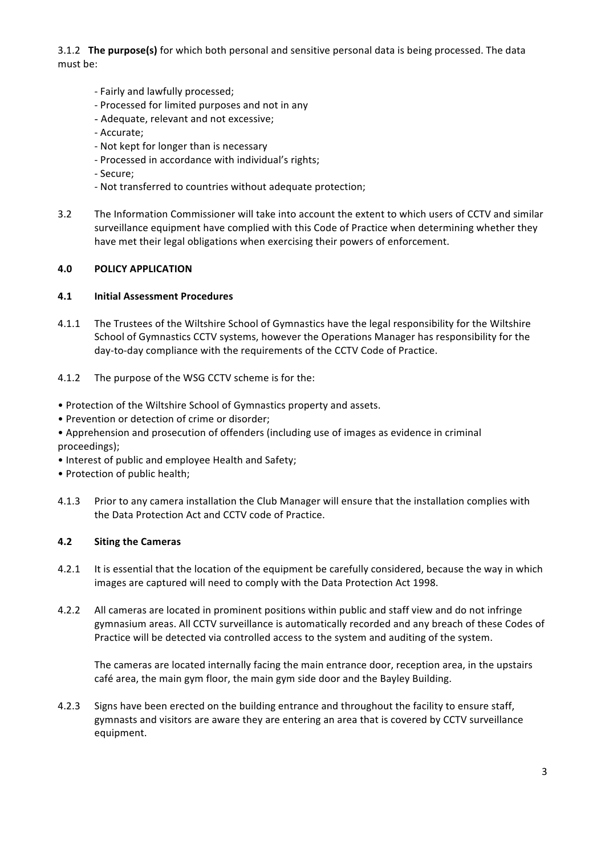3.1.2 **The purpose(s)** for which both personal and sensitive personal data is being processed. The data must be:

- Fairly and lawfully processed;
- Processed for limited purposes and not in any
- Adequate, relevant and not excessive:
- Accurate;
- Not kept for longer than is necessary
- Processed in accordance with individual's rights;
- Secure;
- Not transferred to countries without adequate protection;
- 3.2 The Information Commissioner will take into account the extent to which users of CCTV and similar surveillance equipment have complied with this Code of Practice when determining whether they have met their legal obligations when exercising their powers of enforcement.

#### **4.0 POLICY APPLICATION**

#### **4.1 Initial Assessment Procedures**

- 4.1.1 The Trustees of the Wiltshire School of Gymnastics have the legal responsibility for the Wiltshire School of Gymnastics CCTV systems, however the Operations Manager has responsibility for the day-to-day compliance with the requirements of the CCTV Code of Practice.
- 4.1.2 The purpose of the WSG CCTV scheme is for the:
- Protection of the Wiltshire School of Gymnastics property and assets.
- Prevention or detection of crime or disorder;
- Apprehension and prosecution of offenders (including use of images as evidence in criminal proceedings);
- Interest of public and employee Health and Safety;
- Protection of public health;
- 4.1.3 Prior to any camera installation the Club Manager will ensure that the installation complies with the Data Protection Act and CCTV code of Practice.

#### **4.2 Siting the Cameras**

- 4.2.1 It is essential that the location of the equipment be carefully considered, because the way in which images are captured will need to comply with the Data Protection Act 1998.
- 4.2.2 All cameras are located in prominent positions within public and staff view and do not infringe gymnasium areas. All CCTV surveillance is automatically recorded and any breach of these Codes of Practice will be detected via controlled access to the system and auditing of the system.

The cameras are located internally facing the main entrance door, reception area, in the upstairs café area, the main gym floor, the main gym side door and the Bayley Building.

4.2.3 Signs have been erected on the building entrance and throughout the facility to ensure staff, gymnasts and visitors are aware they are entering an area that is covered by CCTV surveillance equipment.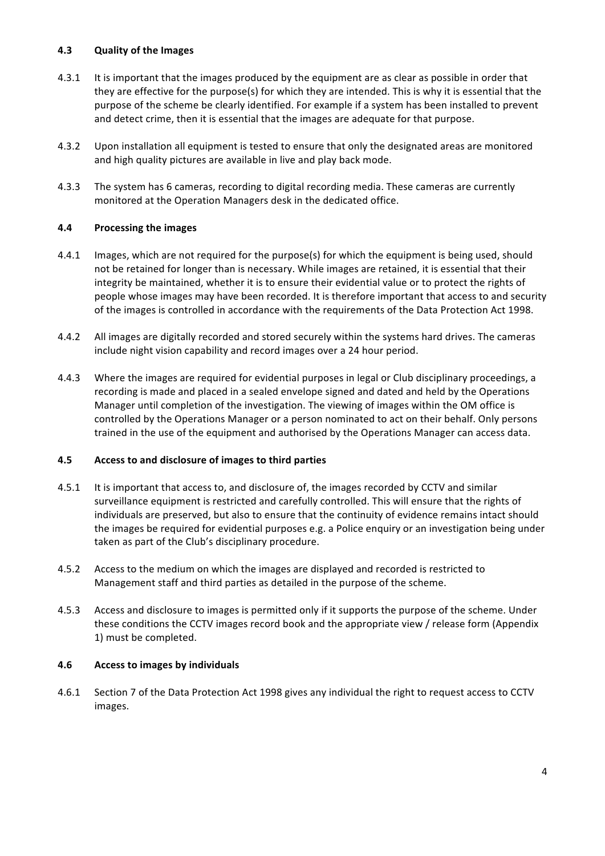## **4.3 Quality of the Images**

- 4.3.1 It is important that the images produced by the equipment are as clear as possible in order that they are effective for the purpose(s) for which they are intended. This is why it is essential that the purpose of the scheme be clearly identified. For example if a system has been installed to prevent and detect crime, then it is essential that the images are adequate for that purpose.
- 4.3.2 Upon installation all equipment is tested to ensure that only the designated areas are monitored and high quality pictures are available in live and play back mode.
- 4.3.3 The system has 6 cameras, recording to digital recording media. These cameras are currently monitored at the Operation Managers desk in the dedicated office.

## **4.4** Processing the images

- 4.4.1 Images, which are not required for the purpose(s) for which the equipment is being used, should not be retained for longer than is necessary. While images are retained, it is essential that their integrity be maintained, whether it is to ensure their evidential value or to protect the rights of people whose images may have been recorded. It is therefore important that access to and security of the images is controlled in accordance with the requirements of the Data Protection Act 1998.
- 4.4.2 All images are digitally recorded and stored securely within the systems hard drives. The cameras include night vision capability and record images over a 24 hour period.
- 4.4.3 Where the images are required for evidential purposes in legal or Club disciplinary proceedings, a recording is made and placed in a sealed envelope signed and dated and held by the Operations Manager until completion of the investigation. The viewing of images within the OM office is controlled by the Operations Manager or a person nominated to act on their behalf. Only persons trained in the use of the equipment and authorised by the Operations Manager can access data.

#### **4.5 Access to and disclosure of images to third parties**

- 4.5.1 It is important that access to, and disclosure of, the images recorded by CCTV and similar surveillance equipment is restricted and carefully controlled. This will ensure that the rights of individuals are preserved, but also to ensure that the continuity of evidence remains intact should the images be required for evidential purposes e.g. a Police enquiry or an investigation being under taken as part of the Club's disciplinary procedure.
- 4.5.2 Access to the medium on which the images are displayed and recorded is restricted to Management staff and third parties as detailed in the purpose of the scheme.
- 4.5.3 Access and disclosure to images is permitted only if it supports the purpose of the scheme. Under these conditions the CCTV images record book and the appropriate view / release form (Appendix 1) must be completed.

#### **4.6 Access to images by individuals**

4.6.1 Section 7 of the Data Protection Act 1998 gives any individual the right to request access to CCTV images.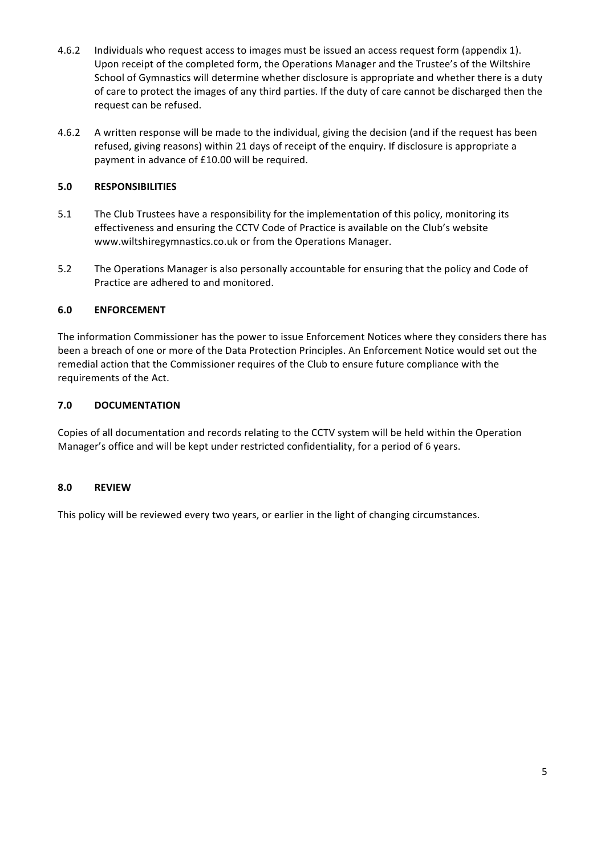- 4.6.2 Individuals who request access to images must be issued an access request form (appendix 1). Upon receipt of the completed form, the Operations Manager and the Trustee's of the Wiltshire School of Gymnastics will determine whether disclosure is appropriate and whether there is a duty of care to protect the images of any third parties. If the duty of care cannot be discharged then the request can be refused.
- 4.6.2 A written response will be made to the individual, giving the decision (and if the request has been refused, giving reasons) within 21 days of receipt of the enquiry. If disclosure is appropriate a payment in advance of £10.00 will be required.

# **5.0 RESPONSIBILITIES**

- 5.1 The Club Trustees have a responsibility for the implementation of this policy, monitoring its effectiveness and ensuring the CCTV Code of Practice is available on the Club's website www.wiltshiregymnastics.co.uk or from the Operations Manager.
- 5.2 The Operations Manager is also personally accountable for ensuring that the policy and Code of Practice are adhered to and monitored.

## **6.0 ENFORCEMENT**

The information Commissioner has the power to issue Enforcement Notices where they considers there has been a breach of one or more of the Data Protection Principles. An Enforcement Notice would set out the remedial action that the Commissioner requires of the Club to ensure future compliance with the requirements of the Act.

## **7.0 DOCUMENTATION**

Copies of all documentation and records relating to the CCTV system will be held within the Operation Manager's office and will be kept under restricted confidentiality, for a period of 6 years.

# **8.0 REVIEW**

This policy will be reviewed every two years, or earlier in the light of changing circumstances.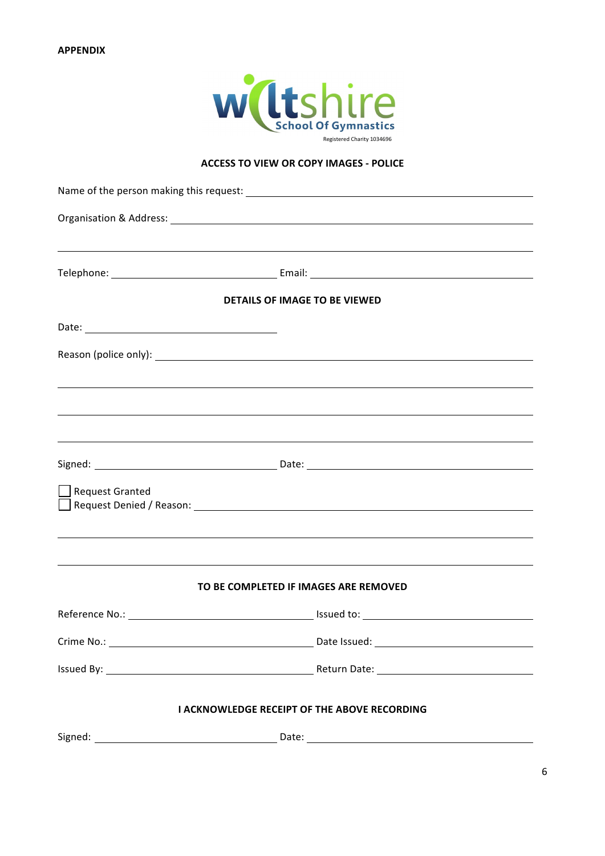

# **ACCESS TO VIEW OR COPY IMAGES - POLICE**

|                        | ,我们也不会有什么。""我们的人,我们也不会有什么?""我们的人,我们也不会有什么?""我们的人,我们也不会有什么?""我们的人,我们也不会有什么?""我们的人 |  |
|------------------------|----------------------------------------------------------------------------------|--|
|                        |                                                                                  |  |
|                        | <b>DETAILS OF IMAGE TO BE VIEWED</b>                                             |  |
|                        |                                                                                  |  |
|                        |                                                                                  |  |
|                        |                                                                                  |  |
|                        |                                                                                  |  |
|                        | ,我们也不会有什么。""我们的人,我们也不会有什么?""我们的人,我们也不会有什么?""我们的人,我们也不会有什么?""我们的人,我们也不会有什么?""我们的人 |  |
|                        |                                                                                  |  |
| <b>Request Granted</b> |                                                                                  |  |
|                        |                                                                                  |  |
|                        |                                                                                  |  |
|                        | TO BE COMPLETED IF IMAGES ARE REMOVED                                            |  |
|                        |                                                                                  |  |
|                        |                                                                                  |  |
|                        |                                                                                  |  |
|                        | I ACKNOWLEDGE RECEIPT OF THE ABOVE RECORDING                                     |  |
|                        |                                                                                  |  |
|                        |                                                                                  |  |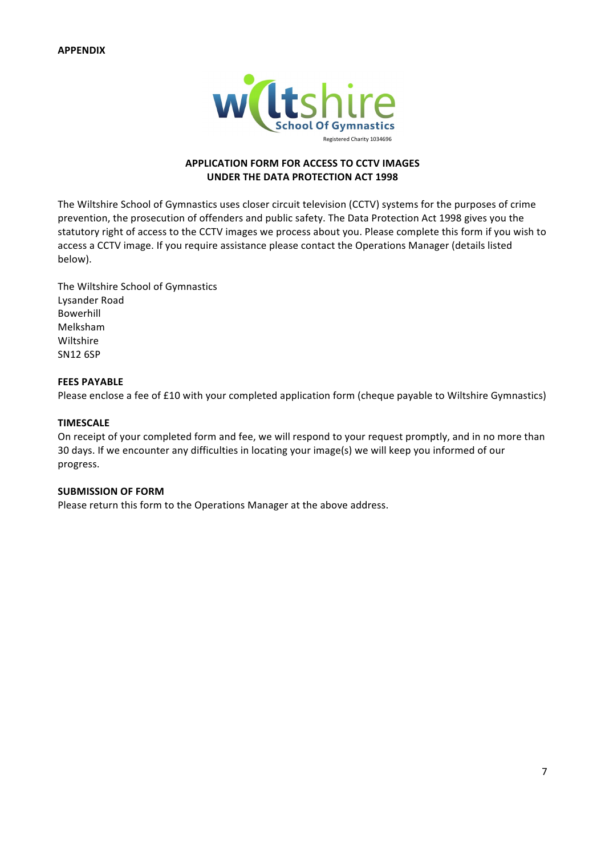

# **APPLICATION FORM FOR ACCESS TO CCTV IMAGES UNDER THE DATA PROTECTION ACT 1998**

The Wiltshire School of Gymnastics uses closer circuit television (CCTV) systems for the purposes of crime prevention, the prosecution of offenders and public safety. The Data Protection Act 1998 gives you the statutory right of access to the CCTV images we process about you. Please complete this form if you wish to access a CCTV image. If you require assistance please contact the Operations Manager (details listed below).

The Wiltshire School of Gymnastics Lysander Road Bowerhill Melksham Wiltshire SN12 6SP

#### **FEES PAYABLE**

Please enclose a fee of £10 with your completed application form (cheque payable to Wiltshire Gymnastics)

#### **TIMESCALE**

On receipt of your completed form and fee, we will respond to your request promptly, and in no more than 30 days. If we encounter any difficulties in locating your image(s) we will keep you informed of our progress.

#### **SUBMISSION OF FORM**

Please return this form to the Operations Manager at the above address.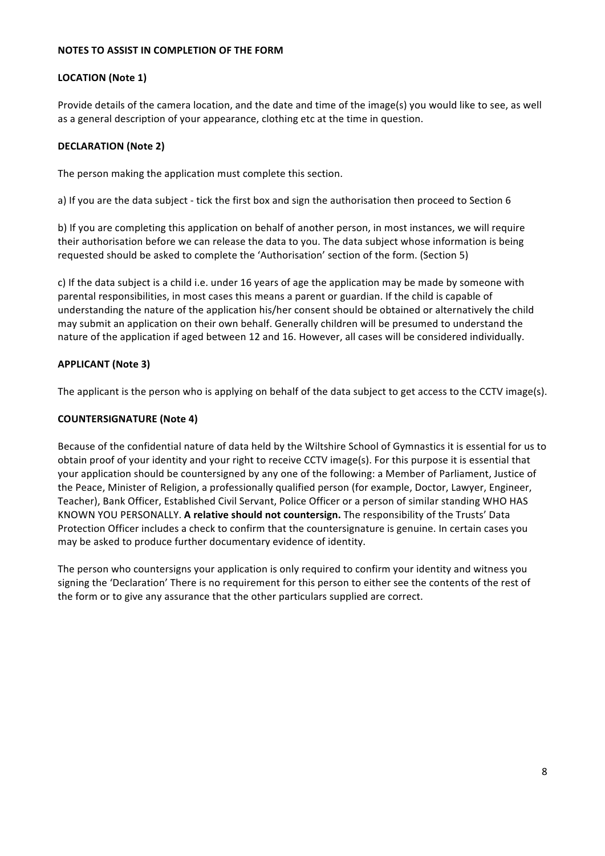#### **NOTES TO ASSIST IN COMPLETION OF THE FORM**

# **LOCATION** (Note 1)

Provide details of the camera location, and the date and time of the image(s) you would like to see, as well as a general description of your appearance, clothing etc at the time in question.

## **DECLARATION (Note 2)**

The person making the application must complete this section.

a) If you are the data subject - tick the first box and sign the authorisation then proceed to Section 6

b) If you are completing this application on behalf of another person, in most instances, we will require their authorisation before we can release the data to you. The data subject whose information is being requested should be asked to complete the 'Authorisation' section of the form. (Section 5)

c) If the data subject is a child i.e. under 16 years of age the application may be made by someone with parental responsibilities, in most cases this means a parent or guardian. If the child is capable of understanding the nature of the application his/her consent should be obtained or alternatively the child may submit an application on their own behalf. Generally children will be presumed to understand the nature of the application if aged between 12 and 16. However, all cases will be considered individually.

## **APPLICANT (Note 3)**

The applicant is the person who is applying on behalf of the data subject to get access to the CCTV image(s).

## **COUNTERSIGNATURE (Note 4)**

Because of the confidential nature of data held by the Wiltshire School of Gymnastics it is essential for us to obtain proof of your identity and your right to receive CCTV image(s). For this purpose it is essential that your application should be countersigned by any one of the following: a Member of Parliament, Justice of the Peace, Minister of Religion, a professionally qualified person (for example, Doctor, Lawyer, Engineer, Teacher), Bank Officer, Established Civil Servant, Police Officer or a person of similar standing WHO HAS KNOWN YOU PERSONALLY. A relative should not countersign. The responsibility of the Trusts' Data Protection Officer includes a check to confirm that the countersignature is genuine. In certain cases you may be asked to produce further documentary evidence of identity.

The person who countersigns your application is only required to confirm your identity and witness you signing the 'Declaration' There is no requirement for this person to either see the contents of the rest of the form or to give any assurance that the other particulars supplied are correct.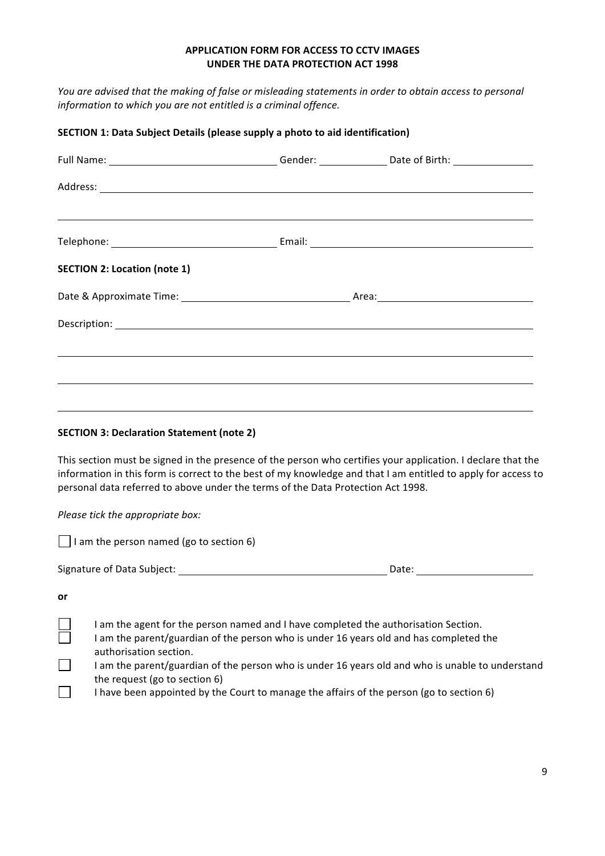# **APPLICATION FORM FOR ACCESS TO CCTV IMAGES UNDER THE DATA PROTECTION ACT 1998**

*You* are advised that the making of false or misleading statements in order to obtain access to personal *information to which you are not entitled is a criminal offence.* 

| SECTION 1: Data Subject Details (please supply a photo to aid identification) |                                                                                                                                                                                                         |  |                                                                                                                                                                                                                               |  |
|-------------------------------------------------------------------------------|---------------------------------------------------------------------------------------------------------------------------------------------------------------------------------------------------------|--|-------------------------------------------------------------------------------------------------------------------------------------------------------------------------------------------------------------------------------|--|
|                                                                               |                                                                                                                                                                                                         |  | Full Name: _________________________________Gender: ___________________Date of Birth: ______________                                                                                                                          |  |
|                                                                               |                                                                                                                                                                                                         |  |                                                                                                                                                                                                                               |  |
|                                                                               |                                                                                                                                                                                                         |  |                                                                                                                                                                                                                               |  |
|                                                                               | <b>SECTION 2: Location (note 1)</b>                                                                                                                                                                     |  |                                                                                                                                                                                                                               |  |
|                                                                               |                                                                                                                                                                                                         |  |                                                                                                                                                                                                                               |  |
|                                                                               |                                                                                                                                                                                                         |  |                                                                                                                                                                                                                               |  |
|                                                                               |                                                                                                                                                                                                         |  |                                                                                                                                                                                                                               |  |
|                                                                               | <b>SECTION 3: Declaration Statement (note 2)</b>                                                                                                                                                        |  |                                                                                                                                                                                                                               |  |
|                                                                               | personal data referred to above under the terms of the Data Protection Act 1998.                                                                                                                        |  | This section must be signed in the presence of the person who certifies your application. I declare that the<br>information in this form is correct to the best of my knowledge and that I am entitled to apply for access to |  |
|                                                                               | Please tick the appropriate box:                                                                                                                                                                        |  |                                                                                                                                                                                                                               |  |
|                                                                               | $\Box$ I am the person named (go to section 6)                                                                                                                                                          |  |                                                                                                                                                                                                                               |  |
|                                                                               |                                                                                                                                                                                                         |  |                                                                                                                                                                                                                               |  |
| or                                                                            |                                                                                                                                                                                                         |  |                                                                                                                                                                                                                               |  |
|                                                                               | I am the agent for the person named and I have completed the authorisation Section.<br>I am the parent/guardian of the person who is under 16 years old and has completed the<br>authorisation section. |  |                                                                                                                                                                                                                               |  |
|                                                                               | the request (go to section 6)                                                                                                                                                                           |  | I am the parent/guardian of the person who is under 16 years old and who is unable to understand<br>I have been appointed by the Court to manage the affairs of the person (go to section 6)                                  |  |